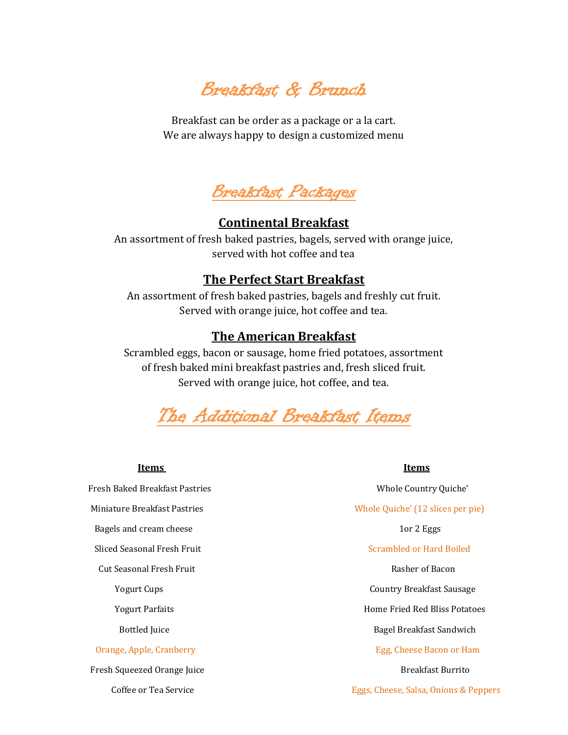Breakfast & Brunch

Breakfast can be order as a package or a la cart. We are always happy to design a customized menu



# **Continental Breakfast**

An assortment of fresh baked pastries, bagels, served with orange juice, served with hot coffee and tea

### **The Perfect Start Breakfast**

An assortment of fresh baked pastries, bagels and freshly cut fruit. Served with orange juice, hot coffee and tea.

## **The American Breakfast**

Scrambled eggs, bacon or sausage, home fried potatoes, assortment of fresh baked mini breakfast pastries and, fresh sliced fruit. Served with orange juice, hot coffee, and tea.



Fresh Baked Breakfast Pastries Whole Country Quiche' Bagels and cream cheese 10 and 2 Eggs 10 and 2 Eggs 10 and 2 Eggs 10 and 2 Eggs 10 and 2 Eggs 10 and 2 Eggs 10 and 2 Eggs 10 and 2 Eggs 10 and 2 Eggs 10 and 2 Eggs 10 and 2 Eggs 10 and 2 Eggs 10 and 2 and 2 and 2 and 2 and Sliced Seasonal Fresh Fruit Scrambled or Hard Boiled Cut Seasonal Fresh Fruit Rasher of Bacon Fresh Squeezed Orange Juice **Breakfast Burrito** Breakfast Burrito

#### **Items Items**

 Miniature Breakfast Pastries Whole Quiche' (12 slices per pie) Yogurt Cups Country Breakfast Sausage Yogurt Parfaits **Home Fried Red Bliss Potatoes** Bottled Juice **Bagel Breakfast Sandwich** Orange, Apple, Cranberry Egg, Cheese Bacon or Ham

Coffee or Tea Service Eggs, Cheese, Salsa, Onions & Peppers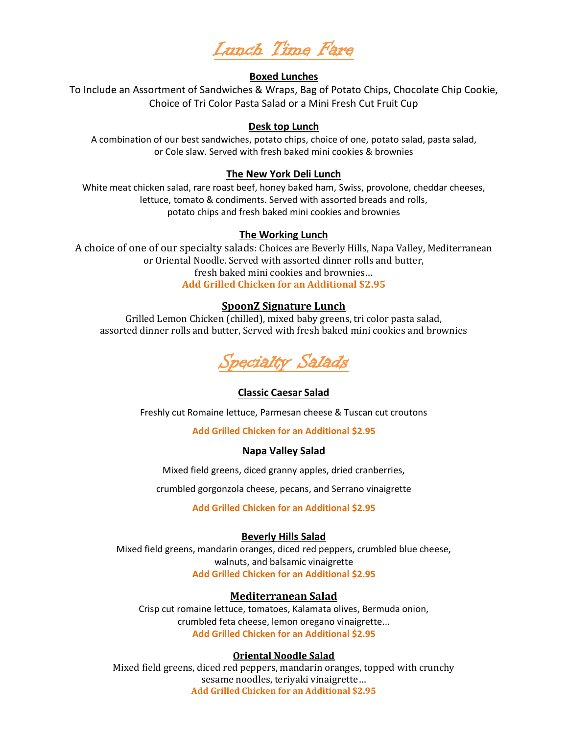Lunch Time Fare

#### **Boxed Lunches**

To Include an Assortment of Sandwiches & Wraps, Bag of Potato Chips, Chocolate Chip Cookie, Choice of Tri Color Pasta Salad or a Mini Fresh Cut Fruit Cup

#### **Desk top Lunch**

A combination of our best sandwiches, potato chips, choice of one, potato salad, pasta salad, or Cole slaw. Served with fresh baked mini cookies & brownies

#### **The New York Deli Lunch**

White meat chicken salad, rare roast beef, honey baked ham, Swiss, provolone, cheddar cheeses, lettuce, tomato & condiments. Served with assorted breads and rolls, potato chips and fresh baked mini cookies and brownies

#### **The Working Lunch**

A choice of one of our specialty salads: Choices are Beverly Hills, Napa Valley, Mediterranean or Oriental Noodle. Served with assorted dinner rolls and butter, fresh baked mini cookies and brownies… **Add Grilled Chicken for an Additional \$2.95**

#### **SpoonZ Signature Lunch**

Grilled Lemon Chicken (chilled), mixed baby greens, tri color pasta salad, assorted dinner rolls and butter, Served with fresh baked mini cookies and brownies



#### **Classic Caesar Salad**

Freshly cut Romaine lettuce, Parmesan cheese & Tuscan cut croutons

**Add Grilled Chicken for an Additional \$2.95** 

#### **Napa Valley Salad**

Mixed field greens, diced granny apples, dried cranberries,

crumbled gorgonzola cheese, pecans, and Serrano vinaigrette

**Add Grilled Chicken for an Additional \$2.95**

#### **Beverly Hills Salad**

Mixed field greens, mandarin oranges, diced red peppers, crumbled blue cheese, walnuts, and balsamic vinaigrette **Add Grilled Chicken for an Additional \$2.95**

#### **Mediterranean Salad**

Crisp cut romaine lettuce, tomatoes, Kalamata olives, Bermuda onion, crumbled feta cheese, lemon oregano vinaigrette... **Add Grilled Chicken for an Additional \$2.95**

#### **Oriental Noodle Salad**

Mixed field greens, diced red peppers, mandarin oranges, topped with crunchy sesame noodles, teriyaki vinaigrette… **Add Grilled Chicken for an Additional \$2.95**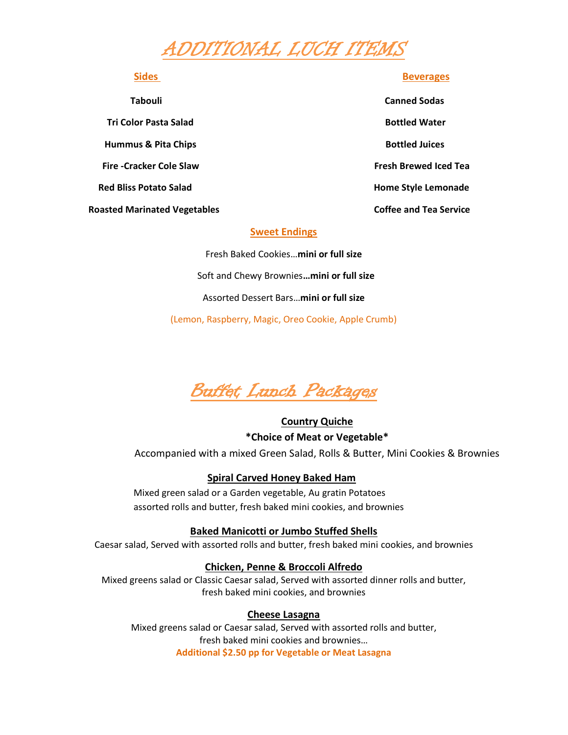# ADDITIONAL LUCH ITEMS

**Tri Color Pasta Salad Bottled Water Hummus & Pita Chips Bottled Juices** Bottled Juices  **Fire -Cracker Cole Slaw Fresh Brewed Iced Tea Red Bliss Potato Salad Community Community Community Community Community Community Community Community Community Community Community Community Community Community Community Community Community Community Community Communit** 

**Sides** Beverages

 **Tabouli Canned Sodas** Roasted Marinated Vegetables **Coffee and Tea Service** Coffee and Tea Service

#### **Sweet Endings**

Fresh Baked Cookies…**mini or full size** Soft and Chewy Brownies**…mini or full size** Assorted Dessert Bars…**mini or full size** (Lemon, Raspberry, Magic, Oreo Cookie, Apple Crumb)



**Country Quiche \*Choice of Meat or Vegetable\***  Accompanied with a mixed Green Salad, Rolls & Butter, Mini Cookies & Brownies

#### **Spiral Carved Honey Baked Ham**

Mixed green salad or a Garden vegetable, Au gratin Potatoes assorted rolls and butter, fresh baked mini cookies, and brownies

#### **Baked Manicotti or Jumbo Stuffed Shells**

Caesar salad, Served with assorted rolls and butter, fresh baked mini cookies, and brownies

#### **Chicken, Penne & Broccoli Alfredo**

Mixed greens salad or Classic Caesar salad, Served with assorted dinner rolls and butter, fresh baked mini cookies, and brownies

#### **Cheese Lasagna**

Mixed greens salad or Caesar salad, Served with assorted rolls and butter, fresh baked mini cookies and brownies… **Additional \$2.50 pp for Vegetable or Meat Lasagna**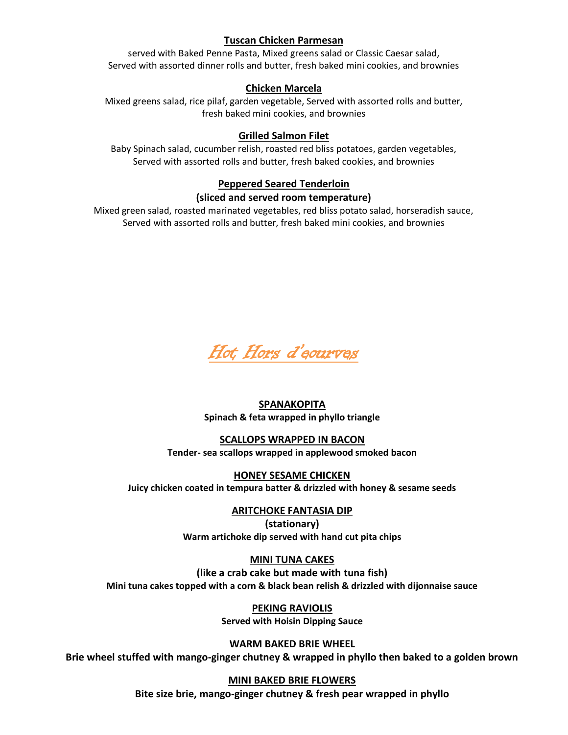### **Tuscan Chicken Parmesan**

served with Baked Penne Pasta, Mixed greens salad or Classic Caesar salad, Served with assorted dinner rolls and butter, fresh baked mini cookies, and brownies

#### **Chicken Marcela**

Mixed greens salad, rice pilaf, garden vegetable, Served with assorted rolls and butter, fresh baked mini cookies, and brownies

#### **Grilled Salmon Filet**

Baby Spinach salad, cucumber relish, roasted red bliss potatoes, garden vegetables, Served with assorted rolls and butter, fresh baked cookies, and brownies

#### **Peppered Seared Tenderloin**

#### **(sliced and served room temperature)**

Mixed green salad, roasted marinated vegetables, red bliss potato salad, horseradish sauce, Served with assorted rolls and butter, fresh baked mini cookies, and brownies



# **SPANAKOPITA**

**Spinach & feta wrapped in phyllo triangle**

#### **SCALLOPS WRAPPED IN BACON**

**Tender- sea scallops wrapped in applewood smoked bacon**

# **HONEY SESAME CHICKEN**

**Juicy chicken coated in tempura batter & drizzled with honey & sesame seeds**

#### **ARITCHOKE FANTASIA DIP**

**(stationary) Warm artichoke dip served with hand cut pita chips**

#### **MINI TUNA CAKES**

**(like a crab cake but made with tuna fish) Mini tuna cakes topped with a corn & black bean relish & drizzled with dijonnaise sauce**

> **PEKING RAVIOLIS Served with Hoisin Dipping Sauce**

**WARM BAKED BRIE WHEEL** 

**Brie wheel stuffed with mango-ginger chutney & wrapped in phyllo then baked to a golden brown**

#### **MINI BAKED BRIE FLOWERS**

**Bite size brie, mango-ginger chutney & fresh pear wrapped in phyllo**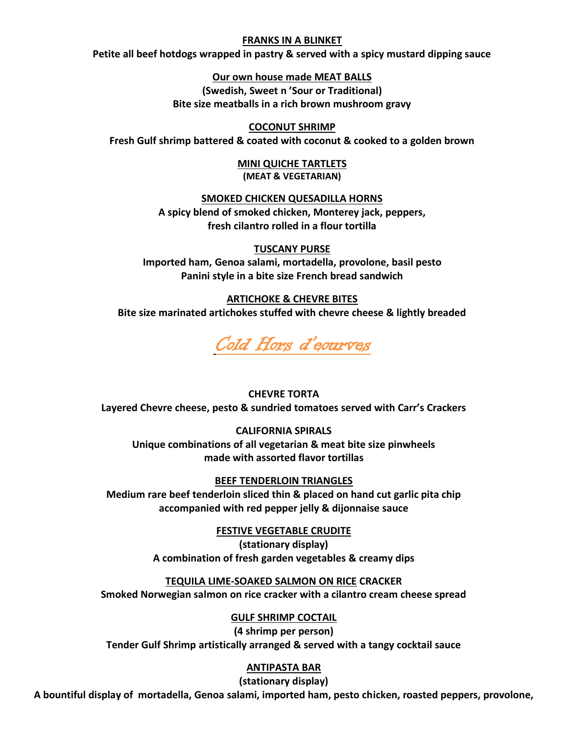#### **FRANKS IN A BLINKET**

**Petite all beef hotdogs wrapped in pastry & served with a spicy mustard dipping sauce**

**Our own house made MEAT BALLS** 

**(Swedish, Sweet n 'Sour or Traditional) Bite size meatballs in a rich brown mushroom gravy**

#### **COCONUT SHRIMP**

**Fresh Gulf shrimp battered & coated with coconut & cooked to a golden brown**

**MINI QUICHE TARTLETS (MEAT & VEGETARIAN)**

#### **SMOKED CHICKEN QUESADILLA HORNS**

**A spicy blend of smoked chicken, Monterey jack, peppers, fresh cilantro rolled in a flour tortilla** 

#### **TUSCANY PURSE**

**Imported ham, Genoa salami, mortadella, provolone, basil pesto Panini style in a bite size French bread sandwich** 

#### **ARTICHOKE & CHEVRE BITES**

**Bite size marinated artichokes stuffed with chevre cheese & lightly breaded**



### **CHEVRE TORTA Layered Chevre cheese, pesto & sundried tomatoes served with Carr's Crackers**

**CALIFORNIA SPIRALS Unique combinations of all vegetarian & meat bite size pinwheels made with assorted flavor tortillas**

**BEEF TENDERLOIN TRIANGLES** 

**Medium rare beef tenderloin sliced thin & placed on hand cut garlic pita chip accompanied with red pepper jelly & dijonnaise sauce**

**FESTIVE VEGETABLE CRUDITE** 

**(stationary display) A combination of fresh garden vegetables & creamy dips**

**TEQUILA LIME-SOAKED SALMON ON RICE CRACKER Smoked Norwegian salmon on rice cracker with a cilantro cream cheese spread**

#### **GULF SHRIMP COCTAIL**

**(4 shrimp per person) Tender Gulf Shrimp artistically arranged & served with a tangy cocktail sauce**

#### **ANTIPASTA BAR**

**(stationary display) A bountiful display of mortadella, Genoa salami, imported ham, pesto chicken, roasted peppers, provolone,**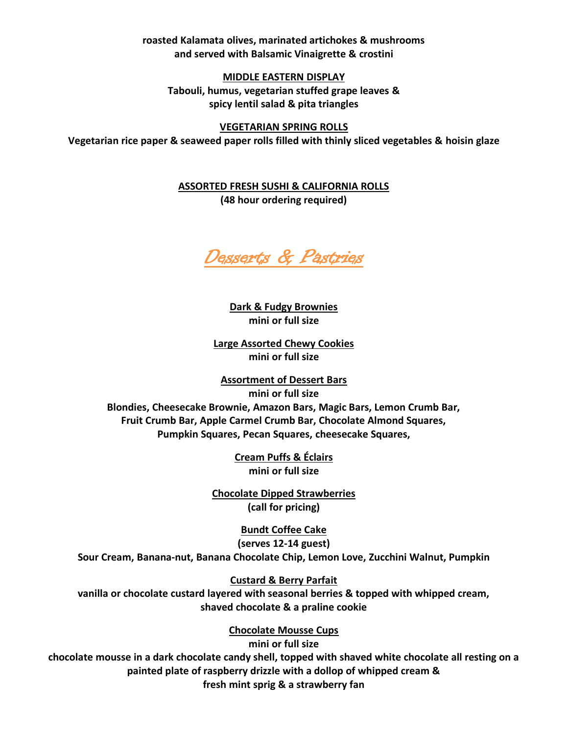**roasted Kalamata olives, marinated artichokes & mushrooms and served with Balsamic Vinaigrette & crostini**

**MIDDLE EASTERN DISPLAY Tabouli, humus, vegetarian stuffed grape leaves & spicy lentil salad & pita triangles**

**VEGETARIAN SPRING ROLLS Vegetarian rice paper & seaweed paper rolls filled with thinly sliced vegetables & hoisin glaze**

> **ASSORTED FRESH SUSHI & CALIFORNIA ROLLS (48 hour ordering required)**



**Dark & Fudgy Brownies mini or full size**

**Large Assorted Chewy Cookies mini or full size**

**Assortment of Dessert Bars mini or full size Blondies, Cheesecake Brownie, Amazon Bars, Magic Bars, Lemon Crumb Bar, Fruit Crumb Bar, Apple Carmel Crumb Bar, Chocolate Almond Squares, Pumpkin Squares, Pecan Squares, cheesecake Squares,**

> **Cream Puffs & Éclairs mini or full size**

**Chocolate Dipped Strawberries (call for pricing)**

**Bundt Coffee Cake (serves 12-14 guest) Sour Cream, Banana-nut, Banana Chocolate Chip, Lemon Love, Zucchini Walnut, Pumpkin**

**Custard & Berry Parfait vanilla or chocolate custard layered with seasonal berries & topped with whipped cream,** 

**shaved chocolate & a praline cookie**

**Chocolate Mousse Cups** 

**mini or full size chocolate mousse in a dark chocolate candy shell, topped with shaved white chocolate all resting on a painted plate of raspberry drizzle with a dollop of whipped cream & fresh mint sprig & a strawberry fan**